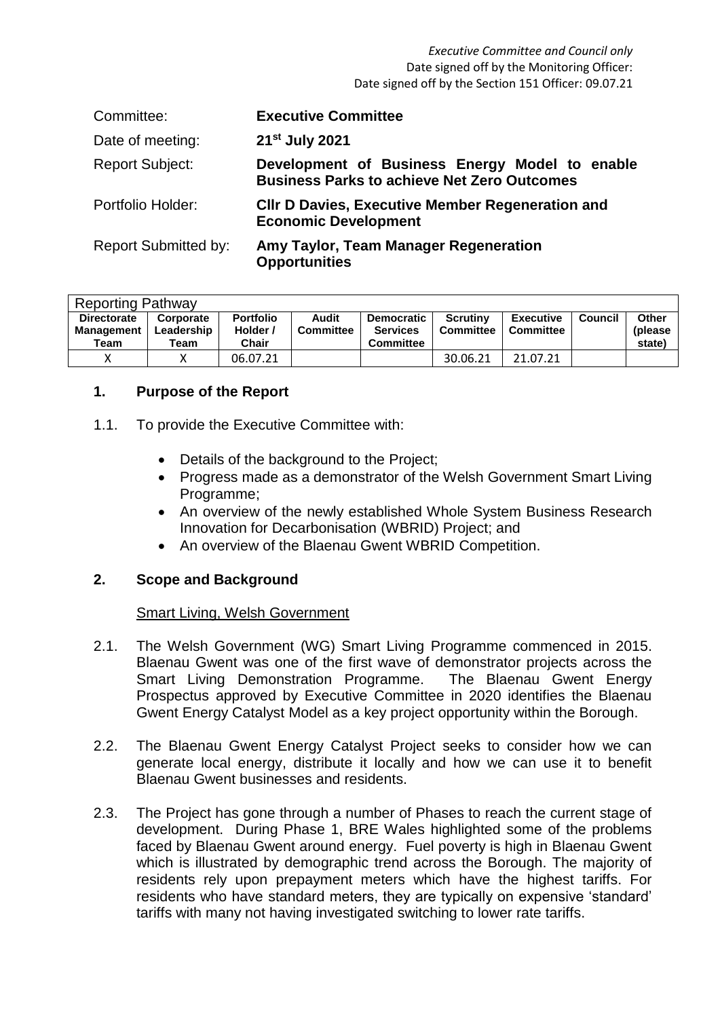| Committee:                  | <b>Executive Committee</b>                                                                           |
|-----------------------------|------------------------------------------------------------------------------------------------------|
| Date of meeting:            | 21 <sup>st</sup> July 2021                                                                           |
| <b>Report Subject:</b>      | Development of Business Energy Model to enable<br><b>Business Parks to achieve Net Zero Outcomes</b> |
| Portfolio Holder:           | <b>CIIr D Davies, Executive Member Regeneration and</b><br><b>Economic Development</b>               |
| <b>Report Submitted by:</b> | Amy Taylor, Team Manager Regeneration<br><b>Opportunities</b>                                        |

| <b>Reporting Pathway</b>                        |                                 |                                              |                           |                                                          |                                     |                               |         |                                    |
|-------------------------------------------------|---------------------------------|----------------------------------------------|---------------------------|----------------------------------------------------------|-------------------------------------|-------------------------------|---------|------------------------------------|
| <b>Directorate</b><br><b>Management</b><br>Team | Corporate<br>Leadership<br>Team | <b>Portfolio</b><br>Holder /<br><b>Chair</b> | Audit<br><b>Committee</b> | <b>Democratic</b><br><b>Services</b><br><b>Committee</b> | <b>Scrutiny</b><br><b>Committee</b> | <b>Executive</b><br>Committee | Council | <b>Other</b><br>(please)<br>state) |
|                                                 |                                 | 06.07.21                                     |                           |                                                          | 30.06.21                            | 21.07.21                      |         |                                    |

# **1. Purpose of the Report**

- 1.1. To provide the Executive Committee with:
	- Details of the background to the Project:
	- Progress made as a demonstrator of the Welsh Government Smart Living Programme;
	- An overview of the newly established Whole System Business Research Innovation for Decarbonisation (WBRID) Project; and
	- An overview of the Blaenau Gwent WBRID Competition.

# **2. Scope and Background**

## Smart Living, Welsh Government

- 2.1. The Welsh Government (WG) Smart Living Programme commenced in 2015. Blaenau Gwent was one of the first wave of demonstrator projects across the Smart Living Demonstration Programme. The Blaenau Gwent Energy Prospectus approved by Executive Committee in 2020 identifies the Blaenau Gwent Energy Catalyst Model as a key project opportunity within the Borough.
- 2.2. The Blaenau Gwent Energy Catalyst Project seeks to consider how we can generate local energy, distribute it locally and how we can use it to benefit Blaenau Gwent businesses and residents.
- 2.3. The Project has gone through a number of Phases to reach the current stage of development. During Phase 1, BRE Wales highlighted some of the problems faced by Blaenau Gwent around energy. Fuel poverty is high in Blaenau Gwent which is illustrated by demographic trend across the Borough. The majority of residents rely upon prepayment meters which have the highest tariffs. For residents who have standard meters, they are typically on expensive 'standard' tariffs with many not having investigated switching to lower rate tariffs.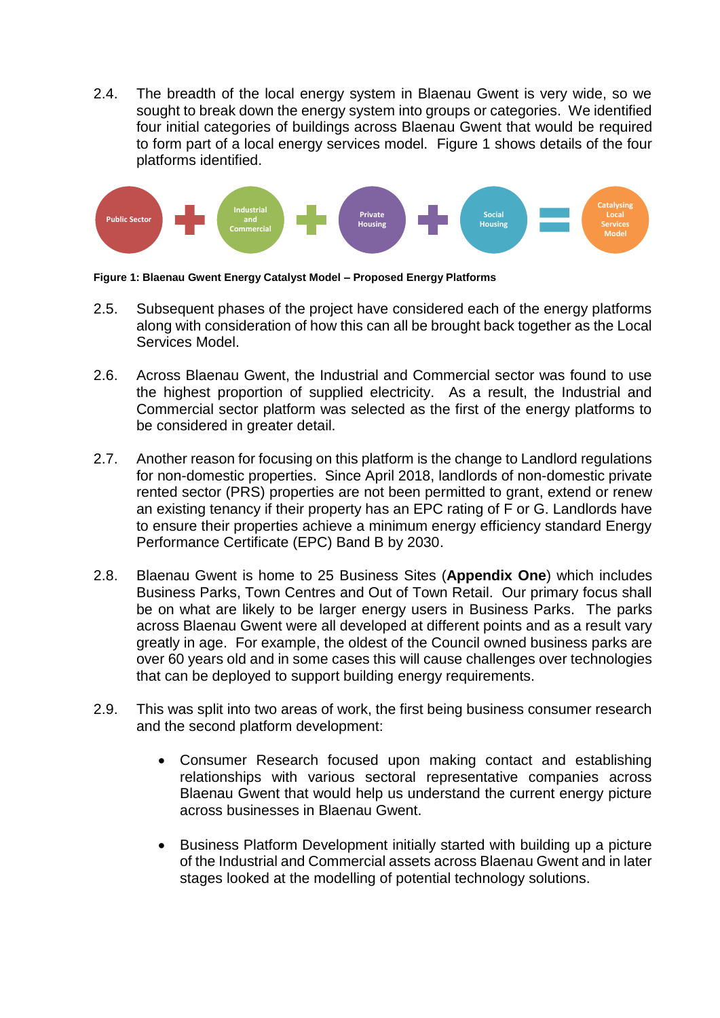2.4. The breadth of the local energy system in Blaenau Gwent is very wide, so we sought to break down the energy system into groups or categories. We identified four initial categories of buildings across Blaenau Gwent that would be required to form part of a local energy services model. Figure 1 shows details of the four platforms identified.



**Figure 1: Blaenau Gwent Energy Catalyst Model – Proposed Energy Platforms**

- 2.5. Subsequent phases of the project have considered each of the energy platforms along with consideration of how this can all be brought back together as the Local Services Model.
- 2.6. Across Blaenau Gwent, the Industrial and Commercial sector was found to use the highest proportion of supplied electricity. As a result, the Industrial and Commercial sector platform was selected as the first of the energy platforms to be considered in greater detail.
- 2.7. Another reason for focusing on this platform is the change to Landlord regulations for non-domestic properties. Since April 2018, landlords of non-domestic private rented sector (PRS) properties are not been permitted to grant, extend or renew an existing tenancy if their property has an EPC rating of F or G. Landlords have to ensure their properties achieve a minimum energy efficiency standard Energy Performance Certificate (EPC) Band B by 2030.
- 2.8. Blaenau Gwent is home to 25 Business Sites (**Appendix One**) which includes Business Parks, Town Centres and Out of Town Retail. Our primary focus shall be on what are likely to be larger energy users in Business Parks. The parks across Blaenau Gwent were all developed at different points and as a result vary greatly in age. For example, the oldest of the Council owned business parks are over 60 years old and in some cases this will cause challenges over technologies that can be deployed to support building energy requirements.
- 2.9. This was split into two areas of work, the first being business consumer research and the second platform development:
	- Consumer Research focused upon making contact and establishing relationships with various sectoral representative companies across Blaenau Gwent that would help us understand the current energy picture across businesses in Blaenau Gwent.
	- Business Platform Development initially started with building up a picture of the Industrial and Commercial assets across Blaenau Gwent and in later stages looked at the modelling of potential technology solutions.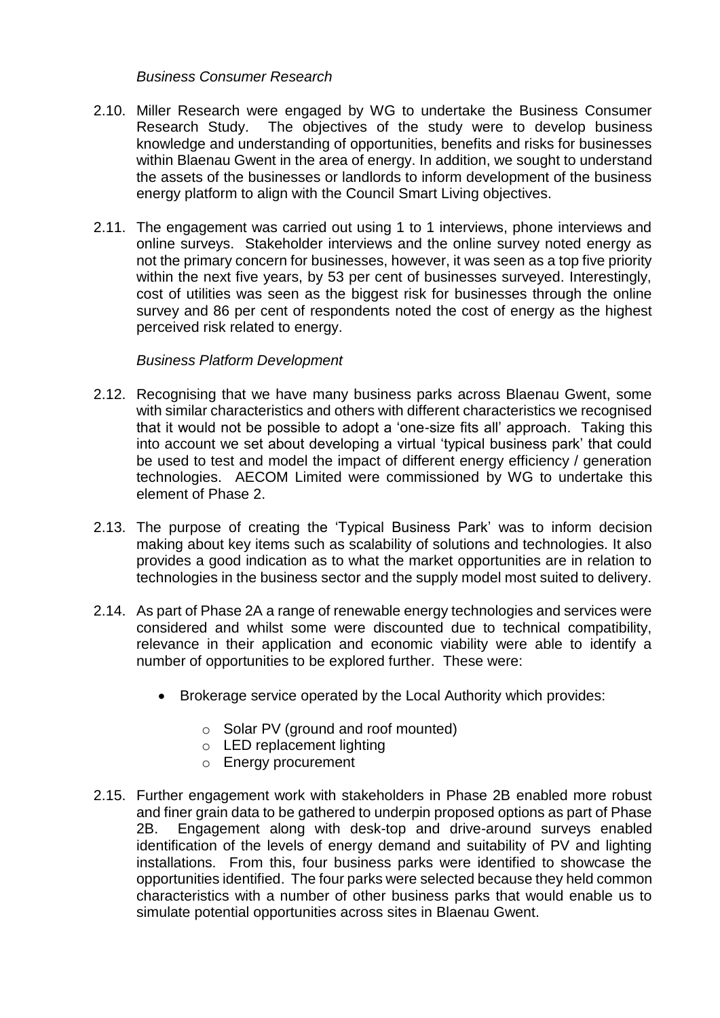## *Business Consumer Research*

- 2.10. Miller Research were engaged by WG to undertake the Business Consumer Research Study. The objectives of the study were to develop business knowledge and understanding of opportunities, benefits and risks for businesses within Blaenau Gwent in the area of energy. In addition, we sought to understand the assets of the businesses or landlords to inform development of the business energy platform to align with the Council Smart Living objectives.
- 2.11. The engagement was carried out using 1 to 1 interviews, phone interviews and online surveys. Stakeholder interviews and the online survey noted energy as not the primary concern for businesses, however, it was seen as a top five priority within the next five years, by 53 per cent of businesses surveyed. Interestingly, cost of utilities was seen as the biggest risk for businesses through the online survey and 86 per cent of respondents noted the cost of energy as the highest perceived risk related to energy.

## *Business Platform Development*

- 2.12. Recognising that we have many business parks across Blaenau Gwent, some with similar characteristics and others with different characteristics we recognised that it would not be possible to adopt a 'one-size fits all' approach. Taking this into account we set about developing a virtual 'typical business park' that could be used to test and model the impact of different energy efficiency / generation technologies. AECOM Limited were commissioned by WG to undertake this element of Phase 2.
- 2.13. The purpose of creating the 'Typical Business Park' was to inform decision making about key items such as scalability of solutions and technologies. It also provides a good indication as to what the market opportunities are in relation to technologies in the business sector and the supply model most suited to delivery.
- 2.14. As part of Phase 2A a range of renewable energy technologies and services were considered and whilst some were discounted due to technical compatibility, relevance in their application and economic viability were able to identify a number of opportunities to be explored further. These were:
	- Brokerage service operated by the Local Authority which provides:
		- o Solar PV (ground and roof mounted)
		- o LED replacement lighting
		- o Energy procurement
- 2.15. Further engagement work with stakeholders in Phase 2B enabled more robust and finer grain data to be gathered to underpin proposed options as part of Phase 2B. Engagement along with desk-top and drive-around surveys enabled identification of the levels of energy demand and suitability of PV and lighting installations. From this, four business parks were identified to showcase the opportunities identified. The four parks were selected because they held common characteristics with a number of other business parks that would enable us to simulate potential opportunities across sites in Blaenau Gwent.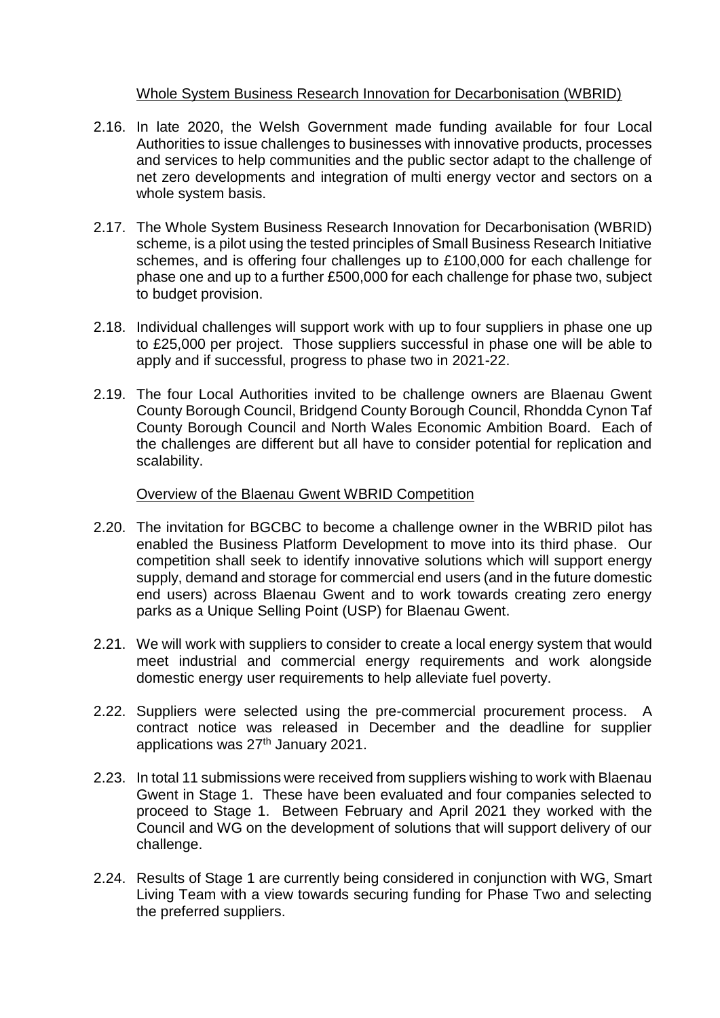## Whole System Business Research Innovation for Decarbonisation (WBRID)

- 2.16. In late 2020, the Welsh Government made funding available for four Local Authorities to issue challenges to businesses with innovative products, processes and services to help communities and the public sector adapt to the challenge of net zero developments and integration of multi energy vector and sectors on a whole system basis.
- 2.17. The Whole System Business Research Innovation for Decarbonisation (WBRID) scheme, is a pilot using the tested principles of Small Business Research Initiative schemes, and is offering four challenges up to £100,000 for each challenge for phase one and up to a further £500,000 for each challenge for phase two, subject to budget provision.
- 2.18. Individual challenges will support work with up to four suppliers in phase one up to £25,000 per project. Those suppliers successful in phase one will be able to apply and if successful, progress to phase two in 2021-22.
- 2.19. The four Local Authorities invited to be challenge owners are Blaenau Gwent County Borough Council, Bridgend County Borough Council, Rhondda Cynon Taf County Borough Council and North Wales Economic Ambition Board. Each of the challenges are different but all have to consider potential for replication and scalability.

## Overview of the Blaenau Gwent WBRID Competition

- 2.20. The invitation for BGCBC to become a challenge owner in the WBRID pilot has enabled the Business Platform Development to move into its third phase. Our competition shall seek to identify innovative solutions which will support energy supply, demand and storage for commercial end users (and in the future domestic end users) across Blaenau Gwent and to work towards creating zero energy parks as a Unique Selling Point (USP) for Blaenau Gwent.
- 2.21. We will work with suppliers to consider to create a local energy system that would meet industrial and commercial energy requirements and work alongside domestic energy user requirements to help alleviate fuel poverty.
- 2.22. Suppliers were selected using the pre-commercial procurement process. A contract notice was released in December and the deadline for supplier applications was 27<sup>th</sup> January 2021.
- 2.23. In total 11 submissions were received from suppliers wishing to work with Blaenau Gwent in Stage 1. These have been evaluated and four companies selected to proceed to Stage 1. Between February and April 2021 they worked with the Council and WG on the development of solutions that will support delivery of our challenge.
- 2.24. Results of Stage 1 are currently being considered in conjunction with WG, Smart Living Team with a view towards securing funding for Phase Two and selecting the preferred suppliers.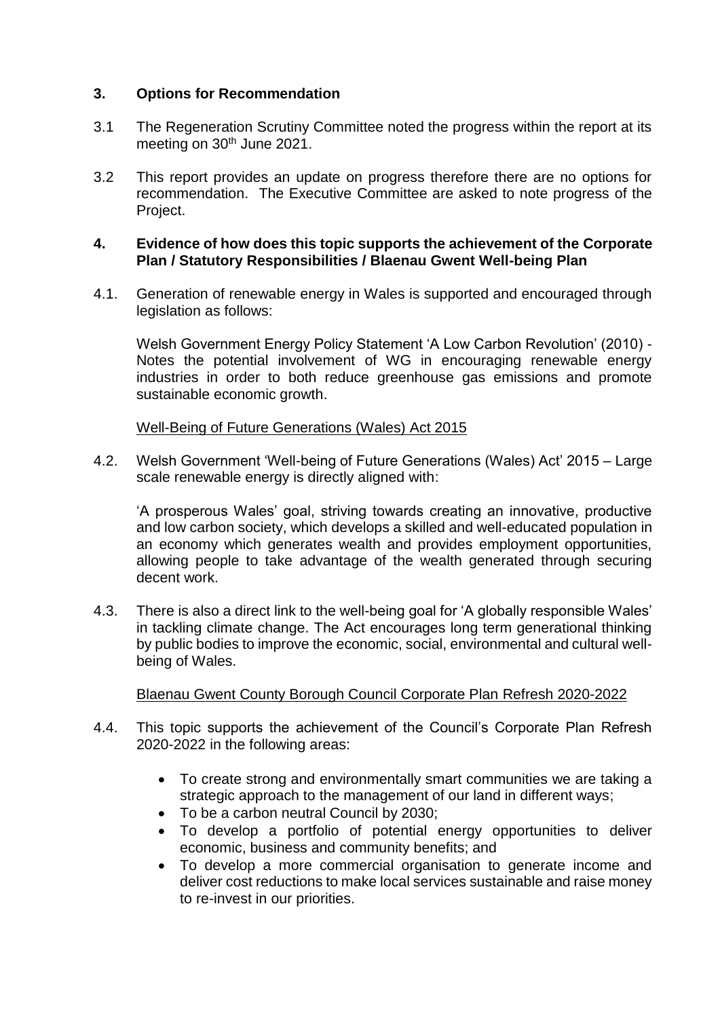# **3. Options for Recommendation**

- 3.1 The Regeneration Scrutiny Committee noted the progress within the report at its meeting on 30<sup>th</sup> June 2021.
- 3.2 This report provides an update on progress therefore there are no options for recommendation. The Executive Committee are asked to note progress of the Project.

#### **4. Evidence of how does this topic supports the achievement of the Corporate Plan / Statutory Responsibilities / Blaenau Gwent Well-being Plan**

4.1. Generation of renewable energy in Wales is supported and encouraged through legislation as follows:

Welsh Government Energy Policy Statement 'A Low Carbon Revolution' (2010) - Notes the potential involvement of WG in encouraging renewable energy industries in order to both reduce greenhouse gas emissions and promote sustainable economic growth.

## Well-Being of Future Generations (Wales) Act 2015

4.2. Welsh Government 'Well-being of Future Generations (Wales) Act' 2015 – Large scale renewable energy is directly aligned with:

'A prosperous Wales' goal, striving towards creating an innovative, productive and low carbon society, which develops a skilled and well-educated population in an economy which generates wealth and provides employment opportunities, allowing people to take advantage of the wealth generated through securing decent work.

4.3. There is also a direct link to the well-being goal for 'A globally responsible Wales' in tackling climate change. The Act encourages long term generational thinking by public bodies to improve the economic, social, environmental and cultural wellbeing of Wales.

## Blaenau Gwent County Borough Council Corporate Plan Refresh 2020-2022

- 4.4. This topic supports the achievement of the Council's Corporate Plan Refresh 2020-2022 in the following areas:
	- To create strong and environmentally smart communities we are taking a strategic approach to the management of our land in different ways;
	- To be a carbon neutral Council by 2030;
	- To develop a portfolio of potential energy opportunities to deliver economic, business and community benefits; and
	- To develop a more commercial organisation to generate income and deliver cost reductions to make local services sustainable and raise money to re-invest in our priorities.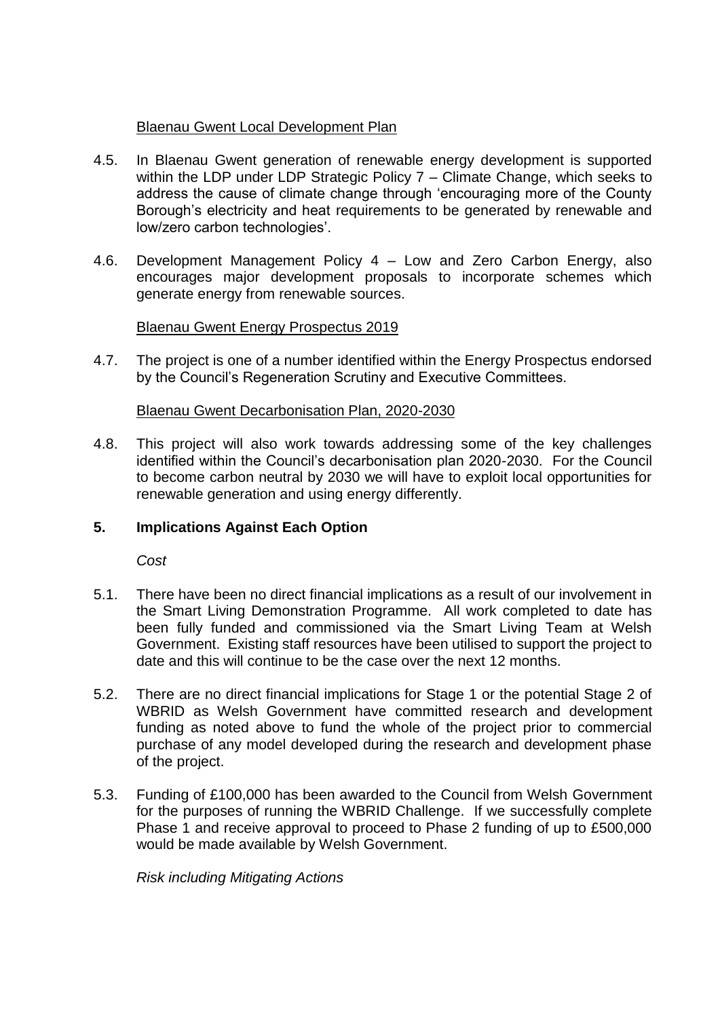# Blaenau Gwent Local Development Plan

- 4.5. In Blaenau Gwent generation of renewable energy development is supported within the LDP under LDP Strategic Policy 7 – Climate Change, which seeks to address the cause of climate change through 'encouraging more of the County Borough's electricity and heat requirements to be generated by renewable and low/zero carbon technologies'.
- 4.6. Development Management Policy 4 Low and Zero Carbon Energy, also encourages major development proposals to incorporate schemes which generate energy from renewable sources.

# Blaenau Gwent Energy Prospectus 2019

4.7. The project is one of a number identified within the Energy Prospectus endorsed by the Council's Regeneration Scrutiny and Executive Committees.

## Blaenau Gwent Decarbonisation Plan, 2020-2030

4.8. This project will also work towards addressing some of the key challenges identified within the Council's decarbonisation plan 2020-2030. For the Council to become carbon neutral by 2030 we will have to exploit local opportunities for renewable generation and using energy differently.

## **5. Implications Against Each Option**

*Cost* 

- 5.1. There have been no direct financial implications as a result of our involvement in the Smart Living Demonstration Programme. All work completed to date has been fully funded and commissioned via the Smart Living Team at Welsh Government. Existing staff resources have been utilised to support the project to date and this will continue to be the case over the next 12 months.
- 5.2. There are no direct financial implications for Stage 1 or the potential Stage 2 of WBRID as Welsh Government have committed research and development funding as noted above to fund the whole of the project prior to commercial purchase of any model developed during the research and development phase of the project.
- 5.3. Funding of £100,000 has been awarded to the Council from Welsh Government for the purposes of running the WBRID Challenge. If we successfully complete Phase 1 and receive approval to proceed to Phase 2 funding of up to £500,000 would be made available by Welsh Government.

*Risk including Mitigating Actions*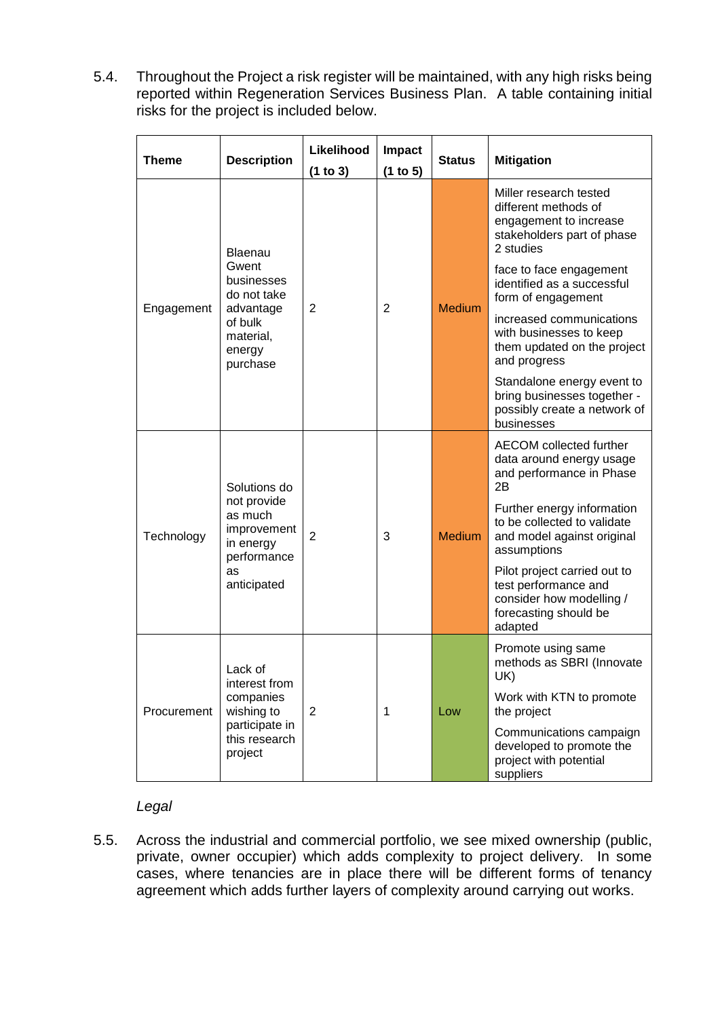5.4. Throughout the Project a risk register will be maintained, with any high risks being reported within Regeneration Services Business Plan. A table containing initial risks for the project is included below.

| <b>Theme</b> | <b>Description</b>                                                                                       |                | <b>Impact</b><br>(1 to 5) | <b>Status</b> | <b>Mitigation</b>                                                                                                    |  |  |
|--------------|----------------------------------------------------------------------------------------------------------|----------------|---------------------------|---------------|----------------------------------------------------------------------------------------------------------------------|--|--|
| Engagement   | Blaenau<br>Gwent<br>businesses<br>do not take<br>advantage<br>of bulk<br>material,<br>energy<br>purchase | $\overline{2}$ | 2                         | <b>Medium</b> | Miller research tested<br>different methods of<br>engagement to increase<br>stakeholders part of phase<br>2 studies  |  |  |
|              |                                                                                                          |                |                           |               | face to face engagement<br>identified as a successful<br>form of engagement                                          |  |  |
|              |                                                                                                          |                |                           |               | increased communications<br>with businesses to keep<br>them updated on the project<br>and progress                   |  |  |
|              |                                                                                                          |                |                           |               | Standalone energy event to<br>bring businesses together -<br>possibly create a network of<br>businesses              |  |  |
| Technology   | Solutions do<br>not provide<br>as much<br>improvement<br>in energy<br>performance<br>as<br>anticipated   | $\overline{2}$ | 3                         | <b>Medium</b> | AECOM collected further<br>data around energy usage<br>and performance in Phase<br>2B                                |  |  |
|              |                                                                                                          |                |                           |               | Further energy information<br>to be collected to validate<br>and model against original<br>assumptions               |  |  |
|              |                                                                                                          |                |                           |               | Pilot project carried out to<br>test performance and<br>consider how modelling /<br>forecasting should be<br>adapted |  |  |
| Procurement  | Lack of<br>interest from<br>companies<br>wishing to<br>participate in<br>this research<br>project        | $\overline{2}$ | 1                         | Low           | Promote using same<br>methods as SBRI (Innovate<br>UK)                                                               |  |  |
|              |                                                                                                          |                |                           |               | Work with KTN to promote<br>the project                                                                              |  |  |
|              |                                                                                                          |                |                           |               | Communications campaign<br>developed to promote the<br>project with potential<br>suppliers                           |  |  |

## *Legal*

5.5. Across the industrial and commercial portfolio, we see mixed ownership (public, private, owner occupier) which adds complexity to project delivery. In some cases, where tenancies are in place there will be different forms of tenancy agreement which adds further layers of complexity around carrying out works.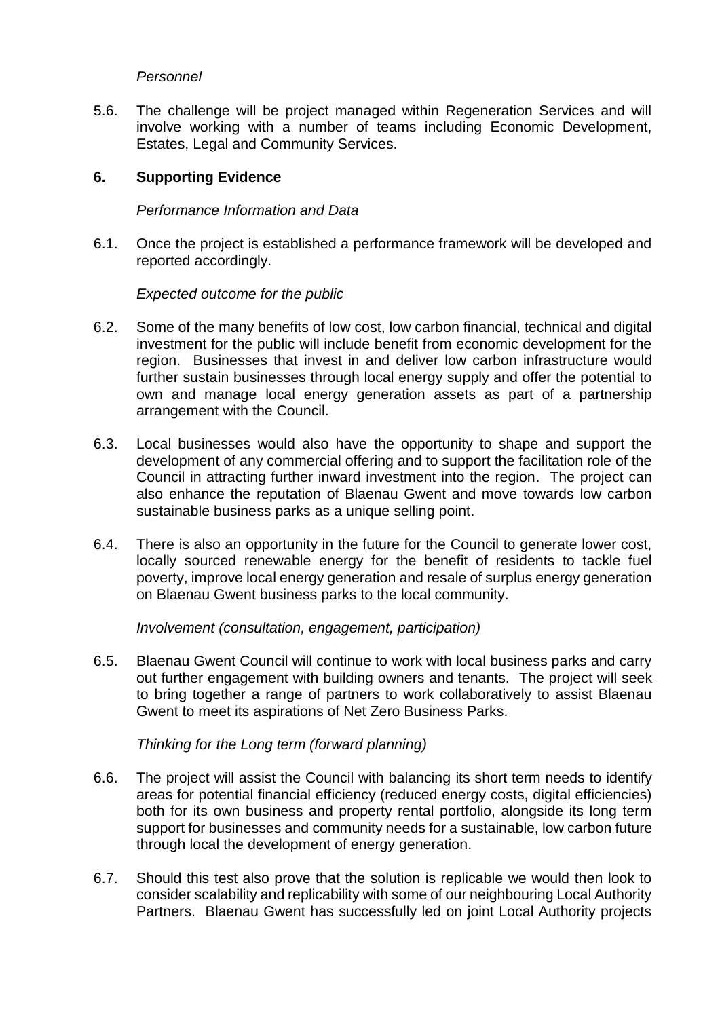## *Personnel*

5.6. The challenge will be project managed within Regeneration Services and will involve working with a number of teams including Economic Development, Estates, Legal and Community Services.

#### **6. Supporting Evidence**

#### *Performance Information and Data*

6.1. Once the project is established a performance framework will be developed and reported accordingly.

#### *Expected outcome for the public*

- 6.2. Some of the many benefits of low cost, low carbon financial, technical and digital investment for the public will include benefit from economic development for the region. Businesses that invest in and deliver low carbon infrastructure would further sustain businesses through local energy supply and offer the potential to own and manage local energy generation assets as part of a partnership arrangement with the Council.
- 6.3. Local businesses would also have the opportunity to shape and support the development of any commercial offering and to support the facilitation role of the Council in attracting further inward investment into the region. The project can also enhance the reputation of Blaenau Gwent and move towards low carbon sustainable business parks as a unique selling point.
- 6.4. There is also an opportunity in the future for the Council to generate lower cost, locally sourced renewable energy for the benefit of residents to tackle fuel poverty, improve local energy generation and resale of surplus energy generation on Blaenau Gwent business parks to the local community.

#### *Involvement (consultation, engagement, participation)*

6.5. Blaenau Gwent Council will continue to work with local business parks and carry out further engagement with building owners and tenants. The project will seek to bring together a range of partners to work collaboratively to assist Blaenau Gwent to meet its aspirations of Net Zero Business Parks.

#### *Thinking for the Long term (forward planning)*

- 6.6. The project will assist the Council with balancing its short term needs to identify areas for potential financial efficiency (reduced energy costs, digital efficiencies) both for its own business and property rental portfolio, alongside its long term support for businesses and community needs for a sustainable, low carbon future through local the development of energy generation.
- 6.7. Should this test also prove that the solution is replicable we would then look to consider scalability and replicability with some of our neighbouring Local Authority Partners. Blaenau Gwent has successfully led on joint Local Authority projects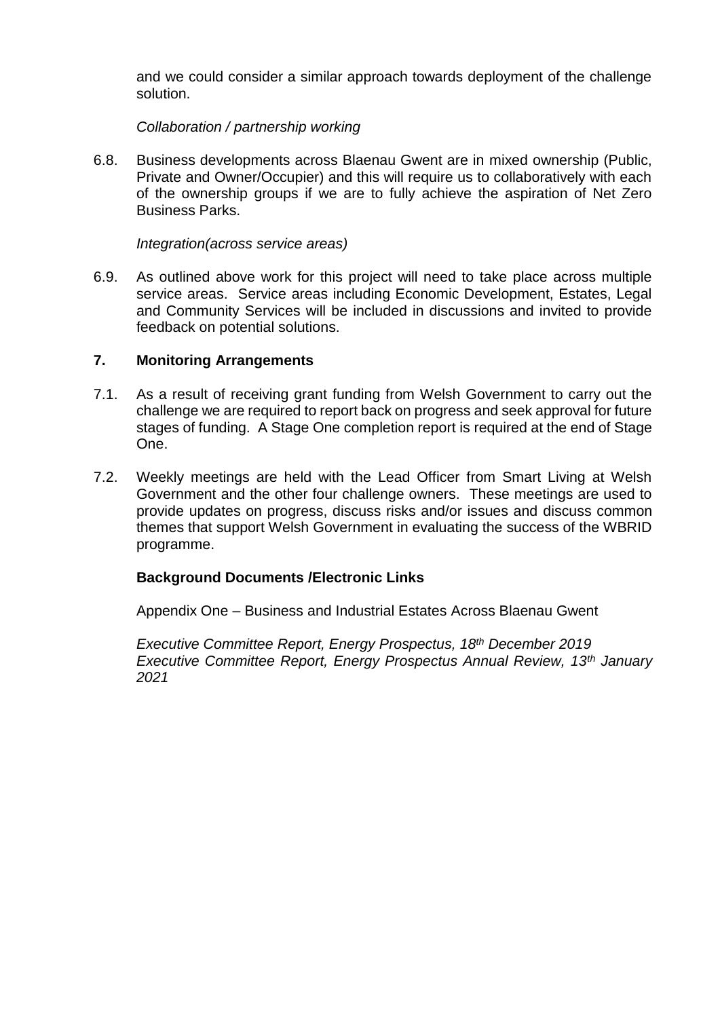and we could consider a similar approach towards deployment of the challenge solution.

*Collaboration / partnership working*

6.8. Business developments across Blaenau Gwent are in mixed ownership (Public, Private and Owner/Occupier) and this will require us to collaboratively with each of the ownership groups if we are to fully achieve the aspiration of Net Zero Business Parks.

*Integration(across service areas)*

6.9. As outlined above work for this project will need to take place across multiple service areas. Service areas including Economic Development, Estates, Legal and Community Services will be included in discussions and invited to provide feedback on potential solutions.

#### **7. Monitoring Arrangements**

- 7.1. As a result of receiving grant funding from Welsh Government to carry out the challenge we are required to report back on progress and seek approval for future stages of funding. A Stage One completion report is required at the end of Stage One.
- 7.2. Weekly meetings are held with the Lead Officer from Smart Living at Welsh Government and the other four challenge owners. These meetings are used to provide updates on progress, discuss risks and/or issues and discuss common themes that support Welsh Government in evaluating the success of the WBRID programme.

## **Background Documents /Electronic Links**

Appendix One – Business and Industrial Estates Across Blaenau Gwent

*Executive Committee Report, Energy Prospectus, 18th December 2019 Executive Committee Report, Energy Prospectus Annual Review, 13th January 2021*